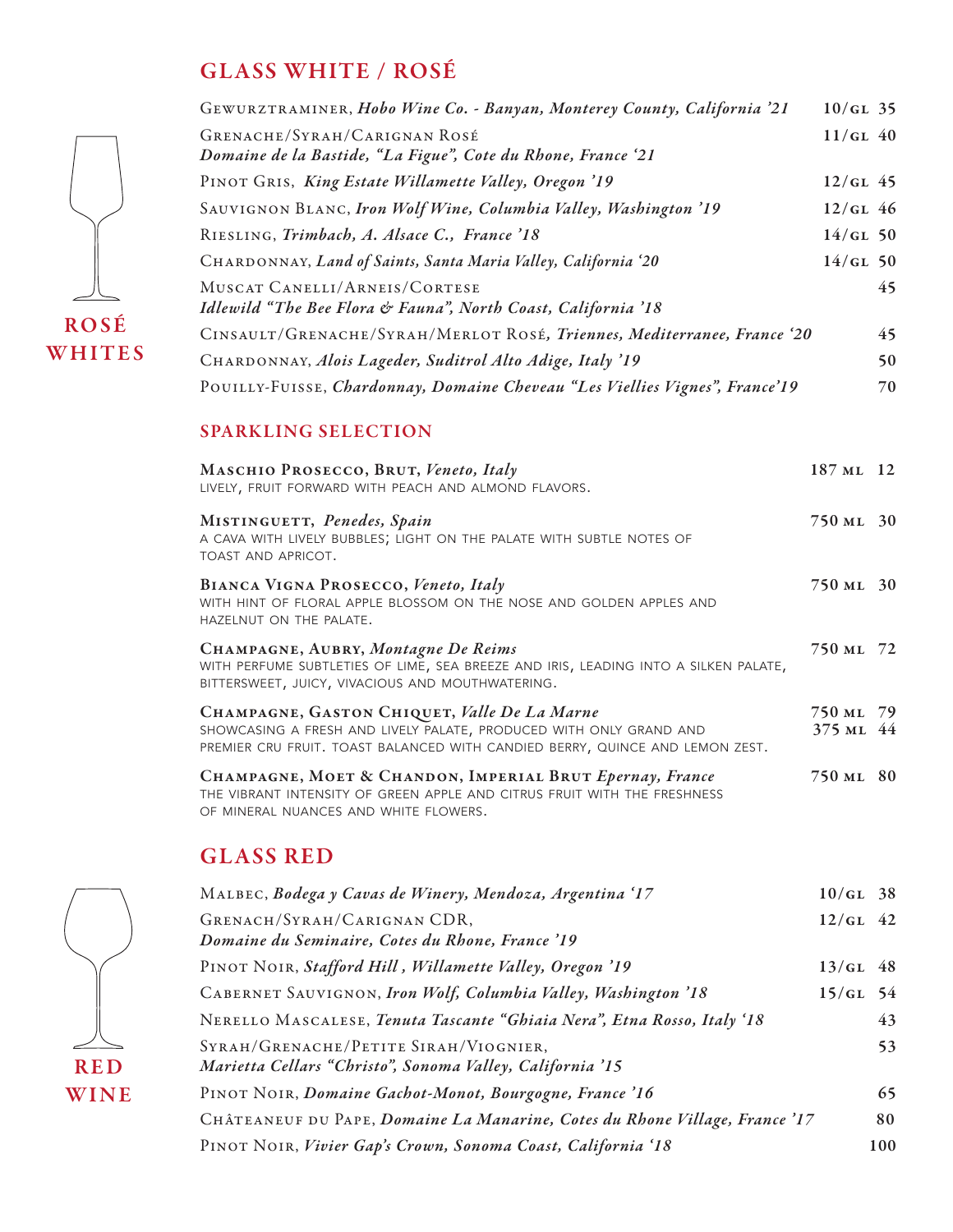## GLASS WHITE / ROSÉ

| GEWURZTRAMINER, Hobo Wine Co. - Banyan, Monterey County, California '21      | $10/GL$ 35 |
|------------------------------------------------------------------------------|------------|
| GRENACHE/SYRAH/CARIGNAN ROSÉ                                                 | $11/GL$ 40 |
| Domaine de la Bastide, "La Figue", Cote du Rhone, France '21                 |            |
| PINOT GRIS, King Estate Willamette Valley, Oregon '19                        | $12/GL$ 45 |
| SAUVIGNON BLANC, Iron Wolf Wine, Columbia Valley, Washington '19             | $12/GL$ 46 |
| RIESLING, Trimbach, A. Alsace C., France '18                                 | $14/GL$ 50 |
| CHARDONNAY, Land of Saints, Santa Maria Valley, California '20               | $14/GL$ 50 |
| MUSCAT CANELLI/ARNEIS/CORTESE                                                | 45         |
| Idlewild "The Bee Flora & Fauna", North Coast, California '18                |            |
| CINSAULT/GRENACHE/SYRAH/MERLOT ROSÉ, Triennes, Mediterranee, France '20      | 45         |
| CHARDONNAY, Alois Lageder, Suditrol Alto Adige, Italy '19                    | 50         |
| POUILLY-FUISSE, Chardonnay, Domaine Cheveau "Les Viellies Vignes", France'19 | 70         |

#### SPARKLING SELECTION

| MASCHIO PROSECCO, BRUT, Veneto, Italy<br>LIVELY, FRUIT FORWARD WITH PEACH AND ALMOND FLAVORS.                                                                                                      | 187 ML 12              |  |
|----------------------------------------------------------------------------------------------------------------------------------------------------------------------------------------------------|------------------------|--|
| MISTINGUETT, Penedes, Spain<br>A CAVA WITH LIVELY BUBBLES; LIGHT ON THE PALATE WITH SUBTLE NOTES OF<br>TOAST AND APRICOT.                                                                          | 750 ML 30              |  |
| BIANCA VIGNA PROSECCO, Veneto, Italy<br>WITH HINT OF FLORAL APPLE BLOSSOM ON THE NOSE AND GOLDEN APPLES AND<br>HAZELNUT ON THE PALATE.                                                             | 750 ML 30              |  |
| CHAMPAGNE, AUBRY, Montagne De Reims<br>WITH PERFUME SUBTLETIES OF LIME, SEA BREEZE AND IRIS, LEADING INTO A SILKEN PALATE,<br>BITTERSWEET, JUICY, VIVACIOUS AND MOUTHWATERING.                     | 750 ML 72              |  |
| CHAMPAGNE, GASTON CHIQUET, Valle De La Marne<br>SHOWCASING A FRESH AND LIVELY PALATE, PRODUCED WITH ONLY GRAND AND<br>PREMIER CRU FRUIT. TOAST BALANCED WITH CANDIED BERRY, QUINCE AND LEMON ZEST. | 750 ML 79<br>375 ML 44 |  |
| CHAMPAGNE, MOET & CHANDON, IMPERIAL BRUT Epernay, France<br>THE VIBRANT INTENSITY OF GREEN APPLE AND CITRUS FRUIT WITH THE FRESHNESS<br>OF MINERAL NUANCES AND WHITE FLOWERS.                      | 750 ML 80              |  |

#### GLASS RED





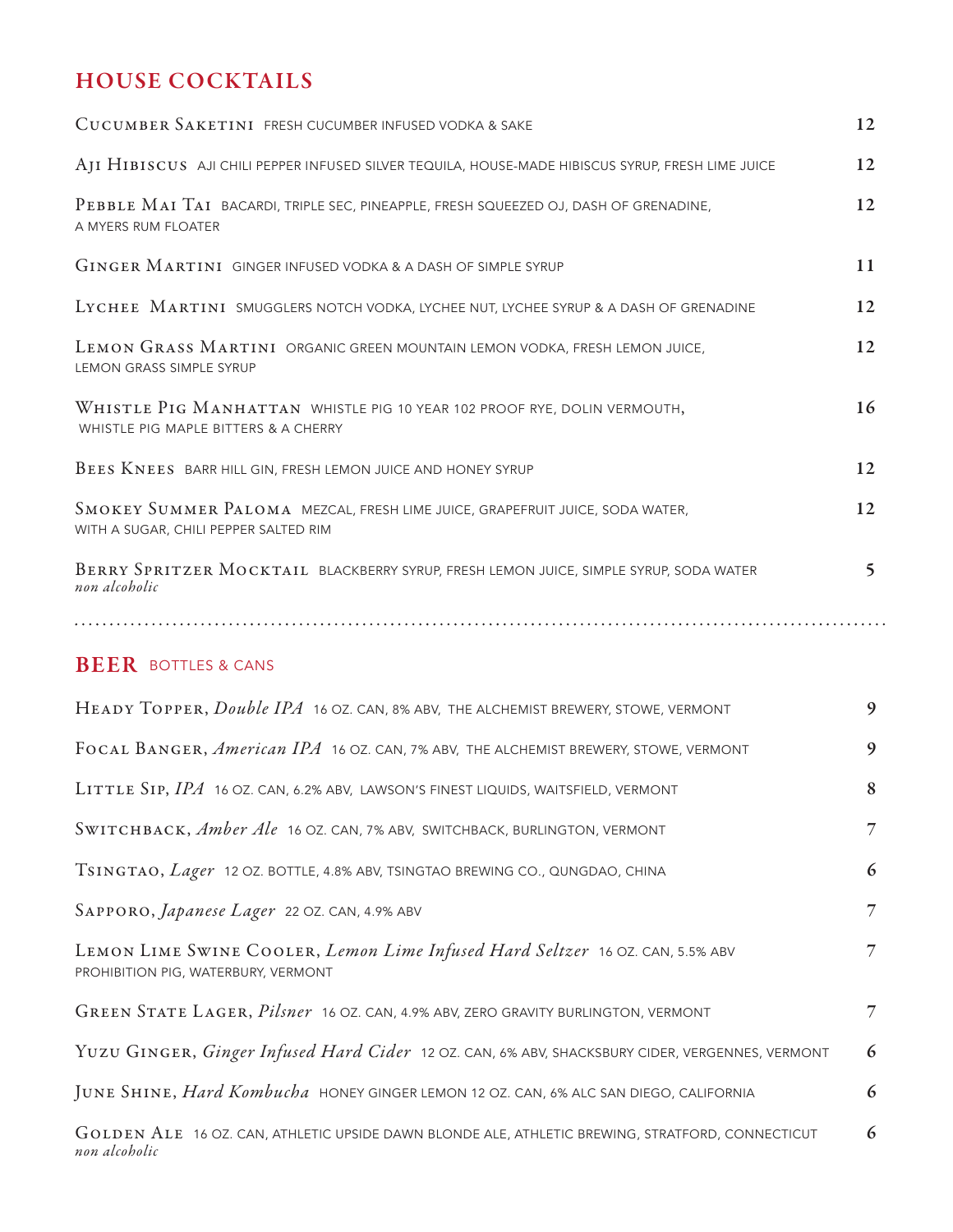## HOUSE COCKTAILS

| CUCUMBER SAKETINI FRESH CUCUMBER INFUSED VODKA & SAKE                                                                 | 12           |
|-----------------------------------------------------------------------------------------------------------------------|--------------|
| AJI HIBISCUS AJI CHILI PEPPER INFUSED SILVER TEQUILA, HOUSE-MADE HIBISCUS SYRUP, FRESH LIME JUICE                     | 12           |
| PEBBLE MAI TAI BACARDI, TRIPLE SEC, PINEAPPLE, FRESH SQUEEZED OJ, DASH OF GRENADINE,<br>A MYERS RUM FLOATER           | 12           |
| GINGER MARTINI GINGER INFUSED VODKA & A DASH OF SIMPLE SYRUP                                                          | 11           |
| LYCHEE MARTINI SMUGGLERS NOTCH VODKA, LYCHEE NUT, LYCHEE SYRUP & A DASH OF GRENADINE                                  | 12           |
| LEMON GRASS MARTINI ORGANIC GREEN MOUNTAIN LEMON VODKA, FRESH LEMON JUICE,<br><b>LEMON GRASS SIMPLE SYRUP</b>         | 12           |
| WHISTLE PIG MANHATTAN WHISTLE PIG 10 YEAR 102 PROOF RYE, DOLIN VERMOUTH,<br>WHISTLE PIG MAPLE BITTERS & A CHERRY      | 16           |
| BEES KNEES BARR HILL GIN, FRESH LEMON JUICE AND HONEY SYRUP                                                           | 12           |
| SMOKEY SUMMER PALOMA MEZCAL, FRESH LIME JUICE, GRAPEFRUIT JUICE, SODA WATER,<br>WITH A SUGAR, CHILI PEPPER SALTED RIM | 12           |
| BERRY SPRITZER MOCKTAIL BLACKBERRY SYRUP, FRESH LEMON JUICE, SIMPLE SYRUP, SODA WATER<br>non alcoholic                | $\mathsf{S}$ |
|                                                                                                                       |              |
| _____                                                                                                                 |              |

#### **BEER BOTTLES & CANS**

| HEADY TOPPER, <i>Double IPA</i> 16 OZ. CAN, 8% ABV, THE ALCHEMIST BREWERY, STOWE, VERMONT                            | 9              |
|----------------------------------------------------------------------------------------------------------------------|----------------|
| FOCAL BANGER, American IPA 16 OZ. CAN, 7% ABV, THE ALCHEMIST BREWERY, STOWE, VERMONT                                 | 9              |
| LITTLE SIP, IPA 16 OZ. CAN, 6.2% ABV, LAWSON'S FINEST LIQUIDS, WAITSFIELD, VERMONT                                   | 8              |
| SWITCHBACK, Amber Ale 16 OZ. CAN, 7% ABV, SWITCHBACK, BURLINGTON, VERMONT                                            | $\overline{7}$ |
| TSINGTAO, Lager 12 OZ. BOTTLE, 4.8% ABV, TSINGTAO BREWING CO., QUNGDAO, CHINA                                        | 6              |
| SAPPORO, <i>Japanese Lager</i> 22 OZ. CAN, 4.9% ABV                                                                  | $\overline{7}$ |
| LEMON LIME SWINE COOLER, Lemon Lime Infused Hard Seltzer 16 OZ. CAN, 5.5% ABV<br>PROHIBITION PIG, WATERBURY, VERMONT | 7              |
| GREEN STATE LAGER, <i>Pilsner</i> 16 OZ. CAN, 4.9% ABV, ZERO GRAVITY BURLINGTON, VERMONT                             | 7              |
| YUZU GINGER, Ginger Infused Hard Cider 12 OZ. CAN, 6% ABV, SHACKSBURY CIDER, VERGENNES, VERMONT                      | 6              |
| JUNE SHINE, <i>Hard Kombucha</i> HONEY GINGER LEMON 12 OZ. CAN, 6% ALC SAN DIEGO, CALIFORNIA                         | 6              |
| GOLDEN ALE 16 OZ. CAN, ATHLETIC UPSIDE DAWN BLONDE ALE, ATHLETIC BREWING, STRATFORD, CONNECTICUT<br>non alcoholic    | 6              |